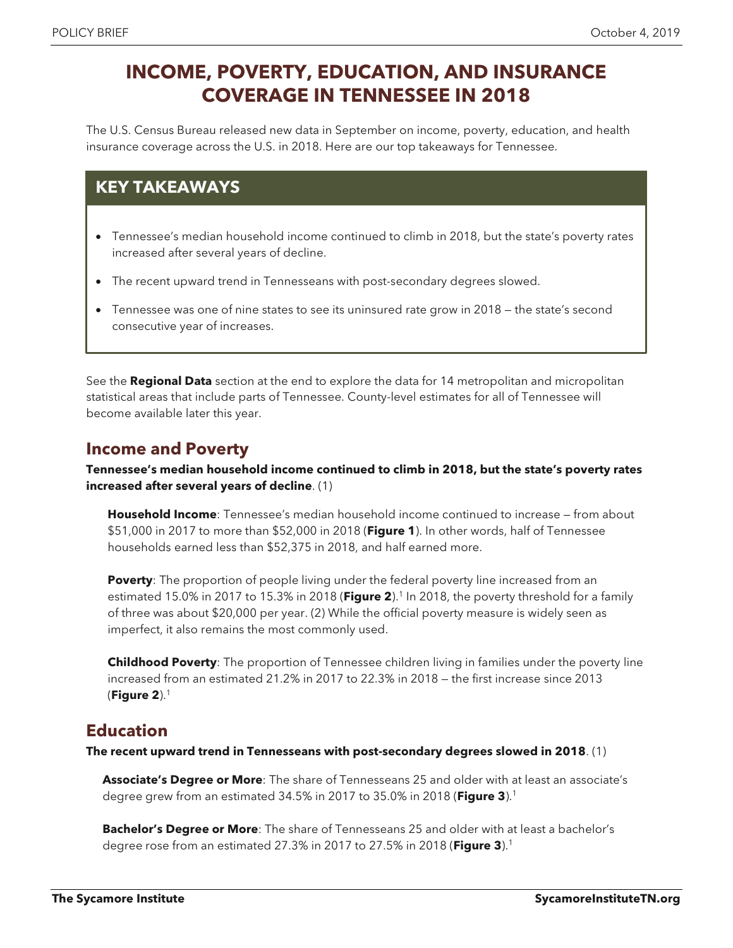# **INCOME, POVERTY, EDUCATION, AND INSURANCE COVERAGE IN TENNESSEE IN 2018**

The U.S. Census Bureau released new data in September on income, poverty, education, and health insurance coverage across the U.S. in 2018. Here are our top takeaways for Tennessee.

# **KEY TAKEAWAYS**

- Tennessee's median household income continued to climb in 2018, but the state's poverty rates increased after several years of decline.
- The recent upward trend in Tennesseans with post-secondary degrees slowed.
- Tennessee was one of nine states to see its uninsured rate grow in 2018 the state's second consecutive year of increases.

See the **Regional Data** section at the end to explore the data for 14 metropolitan and micropolitan statistical areas that include parts of Tennessee. County-level estimates for all of Tennessee will become available later this year.

# **Income and Poverty**

**Tennessee's median household income continued to climb in 2018, but the state's poverty rates increased after several years of decline**. (1)

**Household Income**: Tennessee's median household income continued to increase — from about \$51,000 in 2017 to more than \$52,000 in 2018 (**Figure 1**). In other words, half of Tennessee households earned less than \$52,375 in 2018, and half earned more.

**Poverty:** The proportion of people living under the federal poverty line increased from an estimated 15.0% in 2017 to 15.3% in 2018 (**Figure 2**).1 In 2018, the poverty threshold for a family of three was about \$20,000 per year. (2) While the official poverty measure is widely seen as imperfect, it also remains the most commonly used.

**Childhood Poverty**: The proportion of Tennessee children living in families under the poverty line increased from an estimated 21.2% in 2017 to 22.3% in 2018 — the first increase since 2013 (**Figure 2**).1

# **Education**

**The recent upward trend in Tennesseans with post-secondary degrees slowed in 2018**. (1)

**Associate's Degree or More**: The share of Tennesseans 25 and older with at least an associate's degree grew from an estimated 34.5% in 2017 to 35.0% in 2018 (**Figure 3**).1

**Bachelor's Degree or More**: The share of Tennesseans 25 and older with at least a bachelor's degree rose from an estimated 27.3% in 2017 to 27.5% in 2018 (**Figure 3**).1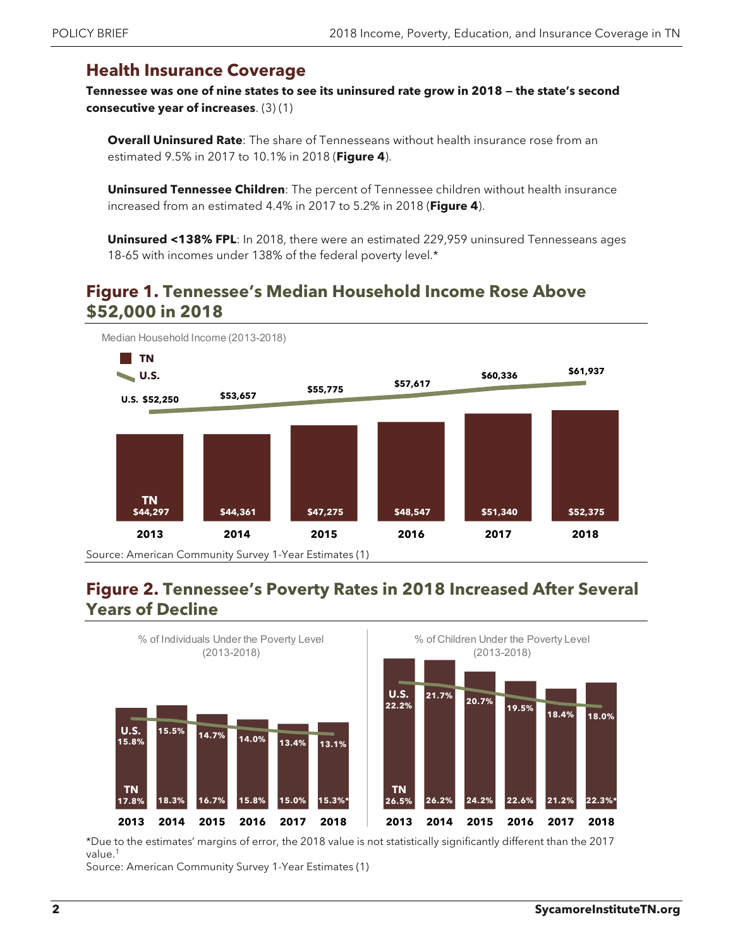## **Health Insurance Coverage**

**Tennessee was one of nine states to see its uninsured rate grow in 2018 — the state's second consecutive year of increases**. (3) (1)

**Overall Uninsured Rate**: The share of Tennesseans without health insurance rose from an estimated 9.5% in 2017 to 10.1% in 2018 (**Figure 4**).

**Uninsured Tennessee Children**: The percent of Tennessee children without health insurance increased from an estimated 4.4% in 2017 to 5.2% in 2018 (**Figure 4**).

**Uninsured <138% FPL**: In 2018, there were an estimated 229,959 uninsured Tennesseans ages 18-65 with incomes under 138% of the federal poverty level.\*

# **Figure 1. Tennessee's Median Household Income Rose Above \$52,000 in 2018**



### **Figure 2. Tennessee's Poverty Rates in 2018 Increased After Several Years of Decline**



\*Due to the estimates' margins of error, the 2018 value is not statistically significantly different than the 2017 value.<sup>1</sup>

Source: American Community Survey 1-Year Estimates (1)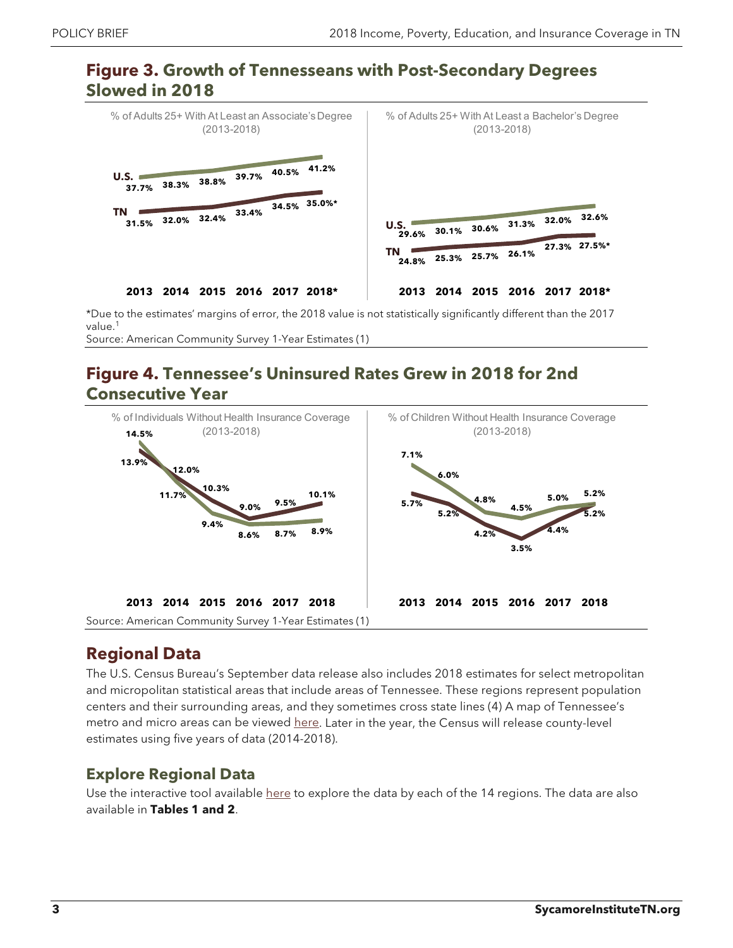#### **Figure 3. Growth of Tennesseans with Post-Secondary Degrees Slowed in 2018**



\*Due to the estimates' margins of error, the 2018 value is not statistically significantly different than the 2017 value.<sup>1</sup> Source: American Community Survey 1-Year Estimates (1)

# **Figure 4. Tennessee's Uninsured Rates Grew in 2018 for 2nd Consecutive Year**



# **Regional Data**

The U.S. Census Bureau's September data release also includes 2018 estimates for select metropolitan and micropolitan statistical areas that include areas of Tennessee. These regions represent population centers and their surrounding areas, and they sometimes cross state lines (4) A map of Tennessee's metro and micro areas can be viewed [here.](https://www2.census.gov/geo/maps/metroarea/us_wall/Aug2017/cbsa_us_0817.pdf) Later in the year, the Census will release county-level estimates using five years of data (2014-2018).

#### **Explore Regional Data**

Use the interactive tool available [here](https://www.sycamoreinstitutetn.org/census-tn-economy-2018/) to explore the data by each of the 14 regions. The data are also available in **Tables 1 and 2**.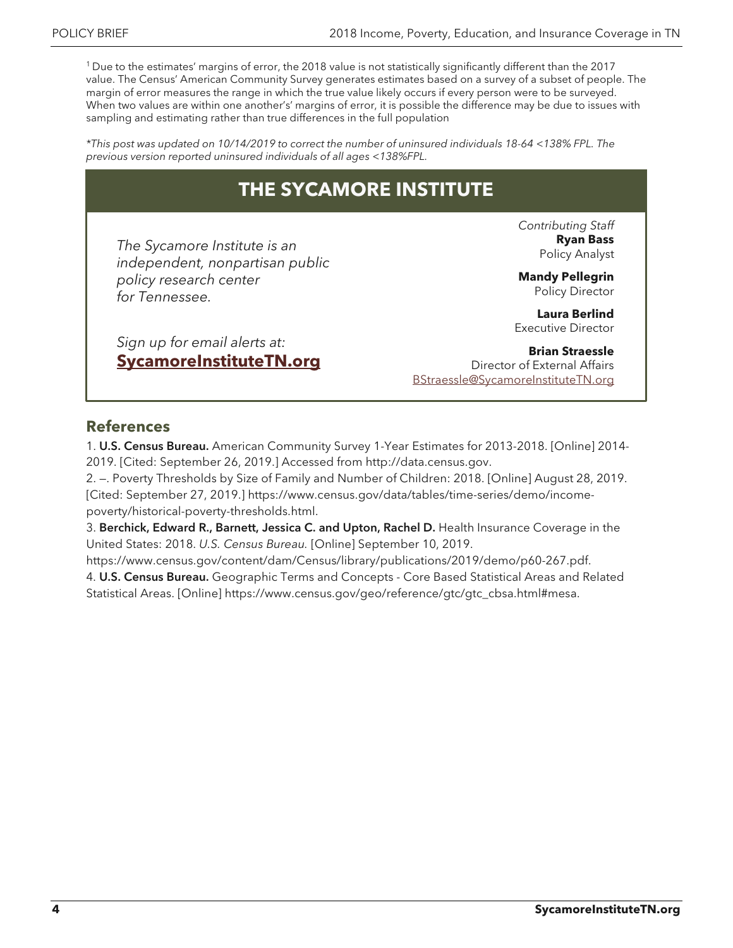1 Due to the estimates' margins of error, the 2018 value is not statistically significantly different than the 2017 value. The Census' American Community Survey generates estimates based on a survey of a subset of people. The margin of error measures the range in which the true value likely occurs if every person were to be surveyed. When two values are within one another's' margins of error, it is possible the difference may be due to issues with sampling and estimating rather than true differences in the full population

\*This post was updated on 10/14/2019 to correct the number of uninsured individuals 18-64 <138% FPL. The previous version reported uninsured individuals of all ages <138%FPL.

# **THE SYCAMORE INSTITUTE**

*The Sycamore Institute is an independent, nonpartisan public policy research center for Tennessee.*

*[Sign up for email alerts at:](http://www.sycamoreinstitutetn.org/)* **SycamoreInstituteTN.org** *Contributing Staff* **Ryan Bass** Policy Analyst

**Mandy Pellegrin** Policy Director

**Laura Berlind** Executive Director

**[Brian Straessle](mailto:BStraessle@SycamoreInstituteTN.org)** Director of External Affairs BStraessle@SycamoreInstituteTN.org

#### **References**

1. U.S. Census Bureau. American Community Survey 1-Year Estimates for 2013-2018. [Online] 2014- 2019. [Cited: September 26, 2019.] Accessed from http://data.census.gov.

2. —. Poverty Thresholds by Size of Family and Number of Children: 2018. [Online] August 28, 2019. [Cited: September 27, 2019.] https://www.census.gov/data/tables/time-series/demo/incomepoverty/historical-poverty-thresholds.html.

3. Berchick, Edward R., Barnett, Jessica C. and Upton, Rachel D. Health Insurance Coverage in the United States: 2018. *U.S. Census Bureau.* [Online] September 10, 2019.

https://www.census.gov/content/dam/Census/library/publications/2019/demo/p60-267.pdf. 4. U.S. Census Bureau. Geographic Terms and Concepts - Core Based Statistical Areas and Related Statistical Areas. [Online] https://www.census.gov/geo/reference/gtc/gtc\_cbsa.html#mesa.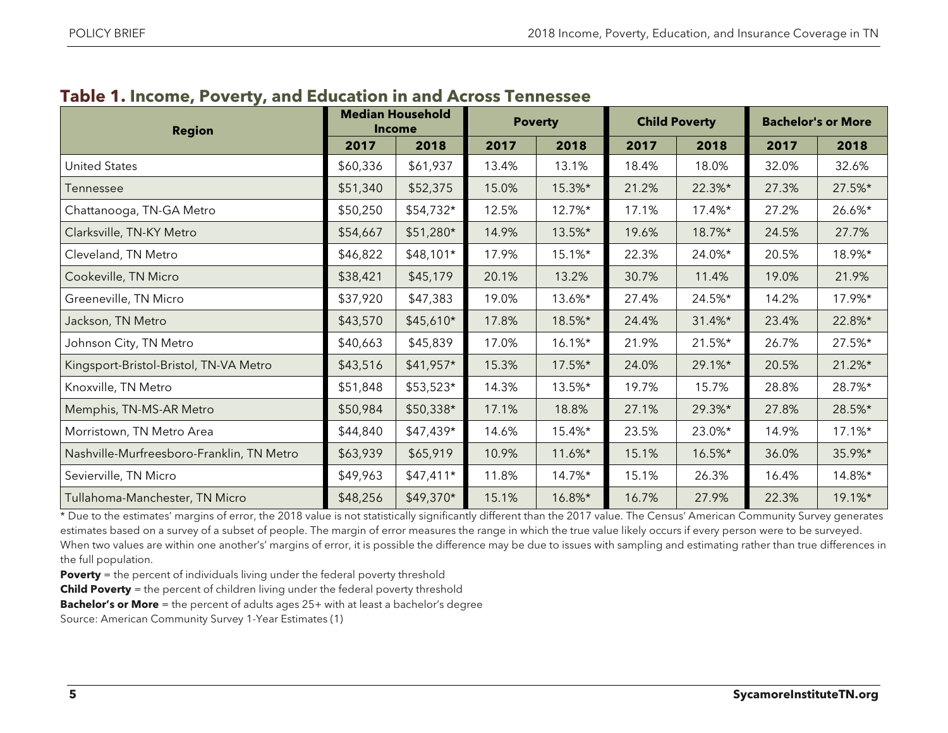| <b>Region</b>                             | <b>Median Household</b><br><b>Income</b> |            | <b>Poverty</b> |           | <b>Child Poverty</b> |        | <b>Bachelor's or More</b> |        |
|-------------------------------------------|------------------------------------------|------------|----------------|-----------|----------------------|--------|---------------------------|--------|
|                                           | 2017                                     | 2018       | 2017           | 2018      | 2017                 | 2018   | 2017                      | 2018   |
| <b>United States</b>                      | \$60,336                                 | \$61,937   | 13.4%          | 13.1%     | 18.4%                | 18.0%  | 32.0%                     | 32.6%  |
| Tennessee                                 | \$51,340                                 | \$52,375   | 15.0%          | 15.3%*    | 21.2%                | 22.3%* | 27.3%                     | 27.5%* |
| Chattanooga, TN-GA Metro                  | \$50,250                                 | \$54,732*  | 12.5%          | 12.7%*    | 17.1%                | 17.4%* | 27.2%                     | 26.6%* |
| Clarksville, TN-KY Metro                  | \$54,667                                 | \$51,280*  | 14.9%          | 13.5%*    | 19.6%                | 18.7%* | 24.5%                     | 27.7%  |
| Cleveland, TN Metro                       | \$46,822                                 | $$48,101*$ | 17.9%          | 15.1%*    | 22.3%                | 24.0%* | 20.5%                     | 18.9%* |
| Cookeville, TN Micro                      | \$38,421                                 | \$45,179   | 20.1%          | 13.2%     | 30.7%                | 11.4%  | 19.0%                     | 21.9%  |
| Greeneville, TN Micro                     | \$37,920                                 | \$47,383   | 19.0%          | 13.6%*    | 27.4%                | 24.5%* | 14.2%                     | 17.9%* |
| Jackson, TN Metro                         | \$43,570                                 | $$45,610*$ | 17.8%          | 18.5%*    | 24.4%                | 31.4%* | 23.4%                     | 22.8%* |
| Johnson City, TN Metro                    | \$40,663                                 | \$45,839   | 17.0%          | 16.1%*    | 21.9%                | 21.5%* | 26.7%                     | 27.5%* |
| Kingsport-Bristol-Bristol, TN-VA Metro    | \$43,516                                 | \$41,957*  | 15.3%          | 17.5%*    | 24.0%                | 29.1%* | 20.5%                     | 21.2%* |
| Knoxville, TN Metro                       | \$51,848                                 | \$53,523*  | 14.3%          | 13.5%*    | 19.7%                | 15.7%  | 28.8%                     | 28.7%* |
| Memphis, TN-MS-AR Metro                   | \$50,984                                 | \$50,338*  | 17.1%          | 18.8%     | 27.1%                | 29.3%* | 27.8%                     | 28.5%* |
| Morristown, TN Metro Area                 | \$44,840                                 | \$47,439*  | 14.6%          | 15.4%*    | 23.5%                | 23.0%* | 14.9%                     | 17.1%* |
| Nashville-Murfreesboro-Franklin, TN Metro | \$63,939                                 | \$65,919   | 10.9%          | $11.6\%*$ | 15.1%                | 16.5%* | 36.0%                     | 35.9%* |
| Sevierville, TN Micro                     | \$49,963                                 | $$47,411*$ | 11.8%          | 14.7%*    | 15.1%                | 26.3%  | 16.4%                     | 14.8%* |
| Tullahoma-Manchester, TN Micro            | \$48,256                                 | \$49,370*  | 15.1%          | 16.8%*    | 16.7%                | 27.9%  | 22.3%                     | 19.1%* |

# **Table 1. Income, Poverty, and Education in and Across Tennessee**

\* Due to the estimates' margins of error, the 2018 value is not statistically significantly different than the 2017 value. The Census' American Community Survey generates estimates based on a survey of a subset of people. The margin of error measures the range in which the true value likely occurs if every person were to be surveyed. When two values are within one another's' margins of error, it is possible the difference may be due to issues with sampling and estimating rather than true differences in the full population.

**Poverty** = the percent of individuals living under the federal poverty threshold

**Child Poverty** = the percent of children living under the federal poverty threshold

**Bachelor's or More** = the percent of adults ages 25+ with at least a bachelor's degree

Source: American Community Survey 1-Year Estimates (1)